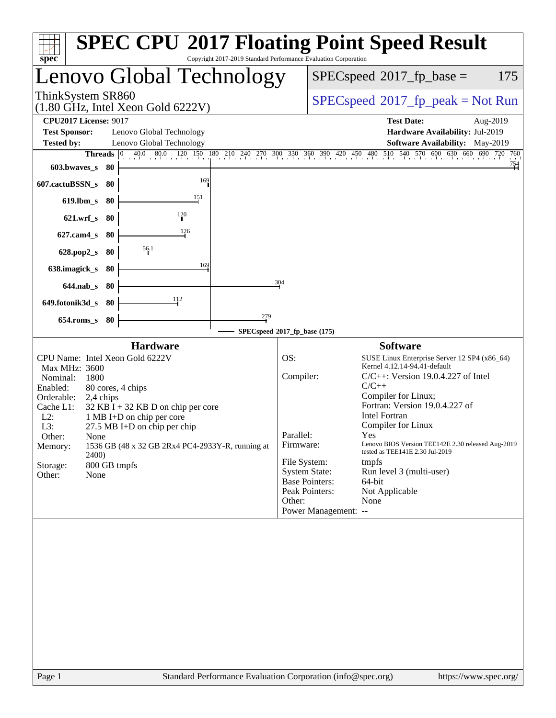| spec <sup>®</sup>                                                                                     | <b>SPEC CPU®2017 Floating Point Speed Result</b><br>Copyright 2017-2019 Standard Performance Evaluation Corporation                                                                                                                      |
|-------------------------------------------------------------------------------------------------------|------------------------------------------------------------------------------------------------------------------------------------------------------------------------------------------------------------------------------------------|
| Lenovo Global Technology                                                                              | 175<br>$SPEC speed^{\circ}2017$ _fp_base =                                                                                                                                                                                               |
| ThinkSystem SR860<br>$(1.80 \text{ GHz}, \text{Intel Xeon Gold } 6222 \text{V})$                      | $SPEC speed^{\circ}2017\_fp\_peak = Not Run$                                                                                                                                                                                             |
| <b>CPU2017 License: 9017</b><br><b>Test Sponsor:</b><br>Lenovo Global Technology                      | <b>Test Date:</b><br>Aug-2019<br>Hardware Availability: Jul-2019                                                                                                                                                                         |
| <b>Tested by:</b><br>Lenovo Global Technology<br>Threads<br>603.bwaves_s<br>-80                       | Software Availability: May-2019<br>$\begin{bmatrix} 0 & 40.0 & 80.0 & 120 & 150 & 180 & 210 & 240 & 270 & 300 & 330 & 360 & 390 & 420 & 450 & 480 & 510 & 540 & 570 & 600 & 630 & 660 & 690 & 720 & 760 \end{bmatrix}$<br><sup>754</sup> |
| 169<br>607.cactuBSSN_s<br>-80                                                                         |                                                                                                                                                                                                                                          |
| 151<br>$619$ .lbm_s<br>-80<br>$\frac{120}{2}$                                                         |                                                                                                                                                                                                                                          |
| $621.wrf$ <sub>S</sub><br>-80<br>126<br>$627$ .cam $4_s$<br>80                                        |                                                                                                                                                                                                                                          |
| 56.1<br>628.pop2_s<br>80                                                                              |                                                                                                                                                                                                                                          |
| 169<br>638.imagick_s<br>80<br>$644$ .nab $\sf s$<br>80                                                | 304                                                                                                                                                                                                                                      |
| $\frac{112}{1}$<br>649.fotonik3d_s<br>80                                                              |                                                                                                                                                                                                                                          |
| 279<br>$654$ .roms_s<br>80                                                                            |                                                                                                                                                                                                                                          |
| <b>Hardware</b>                                                                                       | SPECspeed®2017_fp_base (175)<br><b>Software</b>                                                                                                                                                                                          |
| CPU Name: Intel Xeon Gold 6222V<br>Max MHz: 3600                                                      | OS:<br>SUSE Linux Enterprise Server 12 SP4 (x86_64)<br>Kernel 4.12.14-94.41-default                                                                                                                                                      |
| Nominal:<br>1800<br>Enabled:<br>80 cores, 4 chips<br>Orderable:                                       | Compiler:<br>$C/C++$ : Version 19.0.4.227 of Intel<br>$C/C++$<br>Compiler for Linux;                                                                                                                                                     |
| 2,4 chips<br>Cache L1:<br>$32$ KB I + 32 KB D on chip per core<br>$L2$ :<br>1 MB I+D on chip per core | Fortran: Version 19.0.4.227 of<br><b>Intel Fortran</b>                                                                                                                                                                                   |
| L3:<br>27.5 MB I+D on chip per chip<br>Other:<br>None                                                 | Compiler for Linux<br>Parallel:<br>Yes                                                                                                                                                                                                   |
| 1536 GB (48 x 32 GB 2Rx4 PC4-2933Y-R, running at<br>Memory:<br>2400)<br>800 GB tmpfs<br>Storage:      | Lenovo BIOS Version TEE142E 2.30 released Aug-2019<br>Firmware:<br>tested as TEE141E 2.30 Jul-2019<br>File System:<br>tmpfs                                                                                                              |
| Other:<br>None                                                                                        | <b>System State:</b><br>Run level 3 (multi-user)<br><b>Base Pointers:</b><br>64-bit<br>Peak Pointers:<br>Not Applicable                                                                                                                  |
|                                                                                                       | Other:<br>None<br>Power Management: --                                                                                                                                                                                                   |
|                                                                                                       |                                                                                                                                                                                                                                          |
|                                                                                                       |                                                                                                                                                                                                                                          |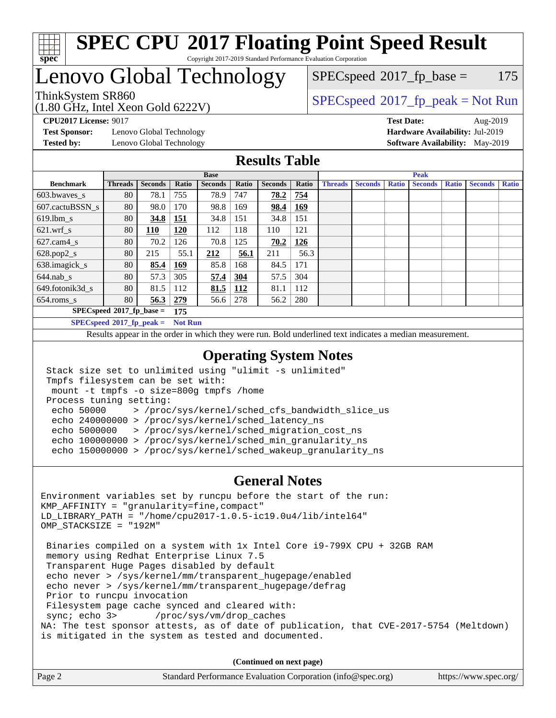

### **[SPEC CPU](http://www.spec.org/auto/cpu2017/Docs/result-fields.html#SPECCPU2017FloatingPointSpeedResult)[2017 Floating Point Speed Result](http://www.spec.org/auto/cpu2017/Docs/result-fields.html#SPECCPU2017FloatingPointSpeedResult)** Copyright 2017-2019 Standard Performance Evaluation Corporation

## Lenovo Global Technology

(1.80 GHz, Intel Xeon Gold 6222V) ThinkSystem SR860<br>(1.80 GHz, Intel Year Gold 6222V) [SPECspeed](http://www.spec.org/auto/cpu2017/Docs/result-fields.html#SPECspeed2017fppeak)®[2017\\_fp\\_peak = N](http://www.spec.org/auto/cpu2017/Docs/result-fields.html#SPECspeed2017fppeak)ot Run

 $SPECspeed^{\circledcirc}2017_fp\_base = 175$  $SPECspeed^{\circledcirc}2017_fp\_base = 175$ 

**[Tested by:](http://www.spec.org/auto/cpu2017/Docs/result-fields.html#Testedby)** Lenovo Global Technology **[Software Availability:](http://www.spec.org/auto/cpu2017/Docs/result-fields.html#SoftwareAvailability)** May-2019

**[CPU2017 License:](http://www.spec.org/auto/cpu2017/Docs/result-fields.html#CPU2017License)** 9017 **[Test Date:](http://www.spec.org/auto/cpu2017/Docs/result-fields.html#TestDate)** Aug-2019 **[Test Sponsor:](http://www.spec.org/auto/cpu2017/Docs/result-fields.html#TestSponsor)** Lenovo Global Technology **[Hardware Availability:](http://www.spec.org/auto/cpu2017/Docs/result-fields.html#HardwareAvailability)** Jul-2019

### **[Results Table](http://www.spec.org/auto/cpu2017/Docs/result-fields.html#ResultsTable)**

|                                    | <b>Base</b>    |                |            |                |            | <b>Peak</b>    |            |                |                |              |                |              |                |              |
|------------------------------------|----------------|----------------|------------|----------------|------------|----------------|------------|----------------|----------------|--------------|----------------|--------------|----------------|--------------|
| <b>Benchmark</b>                   | <b>Threads</b> | <b>Seconds</b> | Ratio      | <b>Seconds</b> | Ratio      | <b>Seconds</b> | Ratio      | <b>Threads</b> | <b>Seconds</b> | <b>Ratio</b> | <b>Seconds</b> | <b>Ratio</b> | <b>Seconds</b> | <b>Ratio</b> |
| 603.bwayes s                       | 80             | 78.1           | 755        | 78.9           | 747        | 78.2           | 754        |                |                |              |                |              |                |              |
| 607.cactuBSSN s                    | 80             | 98.0           | 170        | 98.8           | 169        | 98.4           | 169        |                |                |              |                |              |                |              |
| $619.$ lbm_s                       | 80             | 34.8           | <u>151</u> | 34.8           | 151        | 34.8           | 151        |                |                |              |                |              |                |              |
| $621$ .wrf s                       | 80             | 110            | 120        | 112            | 118        | 110            | 121        |                |                |              |                |              |                |              |
| $627.cam4_s$                       | 80             | 70.2           | 126        | 70.8           | 125        | 70.2           | <u>126</u> |                |                |              |                |              |                |              |
| $628.pop2_s$                       | 80             | 215            | 55.1       | 212            | 56.1       | 211            | 56.3       |                |                |              |                |              |                |              |
| 638.imagick_s                      | 80             | 85.4           | 169        | 85.8           | 168        | 84.5           | 171        |                |                |              |                |              |                |              |
| $644$ .nab s                       | 80             | 57.3           | 305        | 57.4           | 304        | 57.5           | 304        |                |                |              |                |              |                |              |
| 649.fotonik3d s                    | 80             | 81.5           | 112        | 81.5           | <u>112</u> | 81.1           | 112        |                |                |              |                |              |                |              |
| $654$ .roms s                      | 80             | 56.3           | 279        | 56.6           | 278        | 56.2           | 280        |                |                |              |                |              |                |              |
| $SPECspeed*2017_fp\_base =$<br>175 |                |                |            |                |            |                |            |                |                |              |                |              |                |              |
| $SPECspeed*2017_fp\_peak =$        | <b>Not Run</b> |                |            |                |            |                |            |                |                |              |                |              |                |              |

Results appear in the [order in which they were run.](http://www.spec.org/auto/cpu2017/Docs/result-fields.html#RunOrder) Bold underlined text [indicates a median measurement](http://www.spec.org/auto/cpu2017/Docs/result-fields.html#Median).

### **[Operating System Notes](http://www.spec.org/auto/cpu2017/Docs/result-fields.html#OperatingSystemNotes)**

```
 Stack size set to unlimited using "ulimit -s unlimited"
Tmpfs filesystem can be set with:
mount -t tmpfs -o size=800g tmpfs /home
Process tuning setting:
 echo 50000 > /proc/sys/kernel/sched_cfs_bandwidth_slice_us
 echo 240000000 > /proc/sys/kernel/sched_latency_ns
 echo 5000000 > /proc/sys/kernel/sched_migration_cost_ns
 echo 100000000 > /proc/sys/kernel/sched_min_granularity_ns
 echo 150000000 > /proc/sys/kernel/sched_wakeup_granularity_ns
```
### **[General Notes](http://www.spec.org/auto/cpu2017/Docs/result-fields.html#GeneralNotes)**

Environment variables set by runcpu before the start of the run: KMP\_AFFINITY = "granularity=fine,compact" LD\_LIBRARY\_PATH = "/home/cpu2017-1.0.5-ic19.0u4/lib/intel64" OMP\_STACKSIZE = "192M" Binaries compiled on a system with 1x Intel Core i9-799X CPU + 32GB RAM memory using Redhat Enterprise Linux 7.5 Transparent Huge Pages disabled by default echo never > /sys/kernel/mm/transparent\_hugepage/enabled echo never > /sys/kernel/mm/transparent\_hugepage/defrag Prior to runcpu invocation Filesystem page cache synced and cleared with:<br>sync: echo 3> /proc/sys/vm/drop\_caches /proc/sys/vm/drop\_caches NA: The test sponsor attests, as of date of publication, that CVE-2017-5754 (Meltdown) is mitigated in the system as tested and documented.

**(Continued on next page)**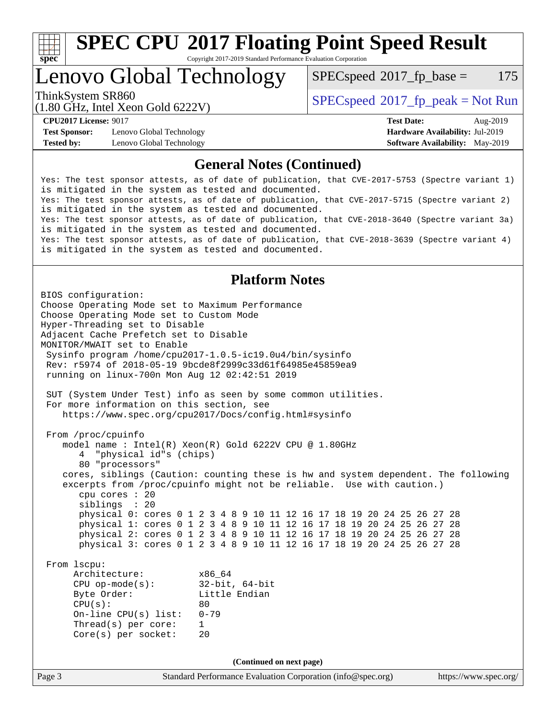

# **[SPEC CPU](http://www.spec.org/auto/cpu2017/Docs/result-fields.html#SPECCPU2017FloatingPointSpeedResult)[2017 Floating Point Speed Result](http://www.spec.org/auto/cpu2017/Docs/result-fields.html#SPECCPU2017FloatingPointSpeedResult)**

Copyright 2017-2019 Standard Performance Evaluation Corporation

Lenovo Global Technology

 $SPECspeed^{\circ}2017\_fp\_base = 175$  $SPECspeed^{\circ}2017\_fp\_base = 175$ 

(1.80 GHz, Intel Xeon Gold 6222V)

ThinkSystem SR860<br>(1.80 CHz, Intel Year Gald 6222V) [SPECspeed](http://www.spec.org/auto/cpu2017/Docs/result-fields.html#SPECspeed2017fppeak)<sup>®</sup>[2017\\_fp\\_peak = N](http://www.spec.org/auto/cpu2017/Docs/result-fields.html#SPECspeed2017fppeak)ot Run

**[Test Sponsor:](http://www.spec.org/auto/cpu2017/Docs/result-fields.html#TestSponsor)** Lenovo Global Technology **[Hardware Availability:](http://www.spec.org/auto/cpu2017/Docs/result-fields.html#HardwareAvailability)** Jul-2019 **[Tested by:](http://www.spec.org/auto/cpu2017/Docs/result-fields.html#Testedby)** Lenovo Global Technology **[Software Availability:](http://www.spec.org/auto/cpu2017/Docs/result-fields.html#SoftwareAvailability)** May-2019

**[CPU2017 License:](http://www.spec.org/auto/cpu2017/Docs/result-fields.html#CPU2017License)** 9017 **[Test Date:](http://www.spec.org/auto/cpu2017/Docs/result-fields.html#TestDate)** Aug-2019

### **[General Notes \(Continued\)](http://www.spec.org/auto/cpu2017/Docs/result-fields.html#GeneralNotes)**

Yes: The test sponsor attests, as of date of publication, that CVE-2017-5753 (Spectre variant 1) is mitigated in the system as tested and documented. Yes: The test sponsor attests, as of date of publication, that CVE-2017-5715 (Spectre variant 2) is mitigated in the system as tested and documented. Yes: The test sponsor attests, as of date of publication, that CVE-2018-3640 (Spectre variant 3a) is mitigated in the system as tested and documented. Yes: The test sponsor attests, as of date of publication, that CVE-2018-3639 (Spectre variant 4) is mitigated in the system as tested and documented.

### **[Platform Notes](http://www.spec.org/auto/cpu2017/Docs/result-fields.html#PlatformNotes)**

Page 3 Standard Performance Evaluation Corporation [\(info@spec.org\)](mailto:info@spec.org) <https://www.spec.org/> BIOS configuration: Choose Operating Mode set to Maximum Performance Choose Operating Mode set to Custom Mode Hyper-Threading set to Disable Adjacent Cache Prefetch set to Disable MONITOR/MWAIT set to Enable Sysinfo program /home/cpu2017-1.0.5-ic19.0u4/bin/sysinfo Rev: r5974 of 2018-05-19 9bcde8f2999c33d61f64985e45859ea9 running on linux-700n Mon Aug 12 02:42:51 2019 SUT (System Under Test) info as seen by some common utilities. For more information on this section, see <https://www.spec.org/cpu2017/Docs/config.html#sysinfo> From /proc/cpuinfo model name : Intel(R) Xeon(R) Gold 6222V CPU @ 1.80GHz 4 "physical id"s (chips) 80 "processors" cores, siblings (Caution: counting these is hw and system dependent. The following excerpts from /proc/cpuinfo might not be reliable. Use with caution.) cpu cores : 20 siblings : 20 physical 0: cores 0 1 2 3 4 8 9 10 11 12 16 17 18 19 20 24 25 26 27 28 physical 1: cores 0 1 2 3 4 8 9 10 11 12 16 17 18 19 20 24 25 26 27 28 physical 2: cores 0 1 2 3 4 8 9 10 11 12 16 17 18 19 20 24 25 26 27 28 physical 3: cores 0 1 2 3 4 8 9 10 11 12 16 17 18 19 20 24 25 26 27 28 From lscpu: Architecture: x86\_64 CPU op-mode(s): 32-bit, 64-bit Byte Order: Little Endian  $CPU(s):$  80 On-line CPU(s) list: 0-79 Thread(s) per core: 1 Core(s) per socket: 20 **(Continued on next page)**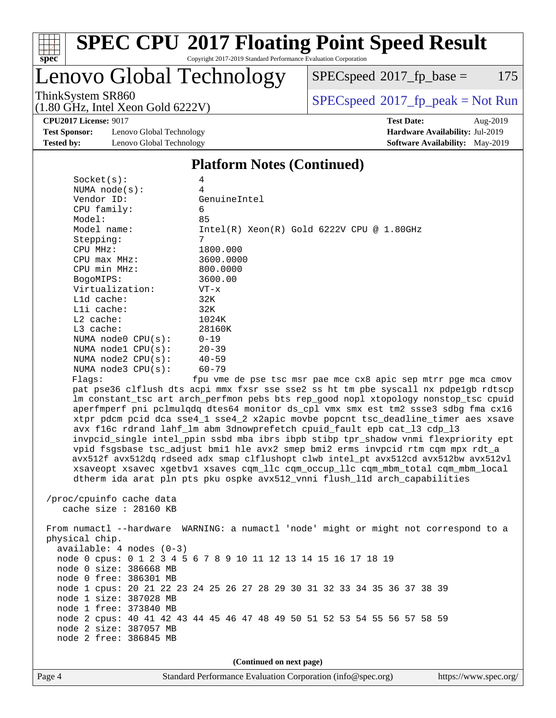

# **[SPEC CPU](http://www.spec.org/auto/cpu2017/Docs/result-fields.html#SPECCPU2017FloatingPointSpeedResult)[2017 Floating Point Speed Result](http://www.spec.org/auto/cpu2017/Docs/result-fields.html#SPECCPU2017FloatingPointSpeedResult)**

Copyright 2017-2019 Standard Performance Evaluation Corporation

## Lenovo Global Technology

 $SPEC speed@2017_fp\_base = 175$ 

ThinkSystem SR860<br>(1.80 GHz, Intel Year Gold 6222V) [SPECspeed](http://www.spec.org/auto/cpu2017/Docs/result-fields.html#SPECspeed2017fppeak)®[2017\\_fp\\_peak = N](http://www.spec.org/auto/cpu2017/Docs/result-fields.html#SPECspeed2017fppeak)ot Run

**[CPU2017 License:](http://www.spec.org/auto/cpu2017/Docs/result-fields.html#CPU2017License)** 9017 **[Test Date:](http://www.spec.org/auto/cpu2017/Docs/result-fields.html#TestDate)** Aug-2019

**[Test Sponsor:](http://www.spec.org/auto/cpu2017/Docs/result-fields.html#TestSponsor)** Lenovo Global Technology **[Hardware Availability:](http://www.spec.org/auto/cpu2017/Docs/result-fields.html#HardwareAvailability)** Jul-2019 **[Tested by:](http://www.spec.org/auto/cpu2017/Docs/result-fields.html#Testedby)** Lenovo Global Technology **[Software Availability:](http://www.spec.org/auto/cpu2017/Docs/result-fields.html#SoftwareAvailability)** May-2019

(1.80 GHz, Intel Xeon Gold 6222V)

### **[Platform Notes \(Continued\)](http://www.spec.org/auto/cpu2017/Docs/result-fields.html#PlatformNotes)**

| Socket(s):               | 4                                                                                    |
|--------------------------|--------------------------------------------------------------------------------------|
| NUMA $node(s)$ :         | 4                                                                                    |
| Vendor ID:               | GenuineIntel                                                                         |
| CPU family:              | 6                                                                                    |
| Model:                   | 85                                                                                   |
| Model name:              | $Intel(R) Xeon(R) Gold 6222V CPU @ 1.80GHz$                                          |
| Stepping:                | $7\overline{ }$                                                                      |
| CPU MHz:                 | 1800.000                                                                             |
| $CPU$ max $MHz$ :        | 3600.0000                                                                            |
| CPU min MHz:             | 800.0000                                                                             |
| BogoMIPS:                | 3600.00                                                                              |
| Virtualization:          | $VT - x$                                                                             |
| L1d cache:               | 32K                                                                                  |
| Lli cache:               | 32K                                                                                  |
| $L2$ cache:              | 1024K                                                                                |
| L3 cache:                | 28160K                                                                               |
| NUMA node0 CPU(s):       | $0 - 19$                                                                             |
| NUMA nodel CPU(s):       | $20 - 39$                                                                            |
| NUMA $node2$ $CPU(s)$ :  | $40 - 59$                                                                            |
| NUMA node3 CPU(s):       | $60 - 79$                                                                            |
| Flaqs:                   | fpu vme de pse tsc msr pae mce cx8 apic sep mtrr pqe mca cmov                        |
|                          | pat pse36 clflush dts acpi mmx fxsr sse sse2 ss ht tm pbe syscall nx pdpe1gb rdtscp  |
|                          | lm constant_tsc art arch_perfmon pebs bts rep_good nopl xtopology nonstop_tsc cpuid  |
|                          | aperfmperf pni pclmulgdg dtes64 monitor ds_cpl vmx smx est tm2 ssse3 sdbg fma cx16   |
|                          | xtpr pdcm pcid dca sse4_1 sse4_2 x2apic movbe popcnt tsc_deadline_timer aes xsave    |
|                          | avx f16c rdrand lahf_lm abm 3dnowprefetch cpuid_fault epb cat_13 cdp_13              |
|                          | invpcid_single intel_ppin ssbd mba ibrs ibpb stibp tpr_shadow vnmi flexpriority ept  |
|                          | vpid fsgsbase tsc_adjust bmil hle avx2 smep bmi2 erms invpcid rtm cqm mpx rdt_a      |
|                          | avx512f avx512dq rdseed adx smap clflushopt clwb intel_pt avx512cd avx512bw avx512vl |
|                          | xsaveopt xsavec xgetbvl xsaves cqm_llc cqm_occup_llc cqm_mbm_total cqm_mbm_local     |
|                          | dtherm ida arat pln pts pku ospke avx512_vnni flush_lld arch_capabilities            |
|                          |                                                                                      |
| /proc/cpuinfo cache data |                                                                                      |
| cache size $: 28160$ KB  |                                                                                      |
|                          |                                                                                      |
| physical chip.           | From numactl --hardware WARNING: a numactl 'node' might or might not correspond to a |
|                          |                                                                                      |

phys available: 4 nodes (0-3) node 0 cpus: 0 1 2 3 4 5 6 7 8 9 10 11 12 13 14 15 16 17 18 19 node 0 size: 386668 MB node 0 free: 386301 MB node 1 cpus: 20 21 22 23 24 25 26 27 28 29 30 31 32 33 34 35 36 37 38 39 node 1 size: 387028 MB node 1 free: 373840 MB node 2 cpus: 40 41 42 43 44 45 46 47 48 49 50 51 52 53 54 55 56 57 58 59 node 2 size: 387057 MB node 2 free: 386845 MB

**(Continued on next page)**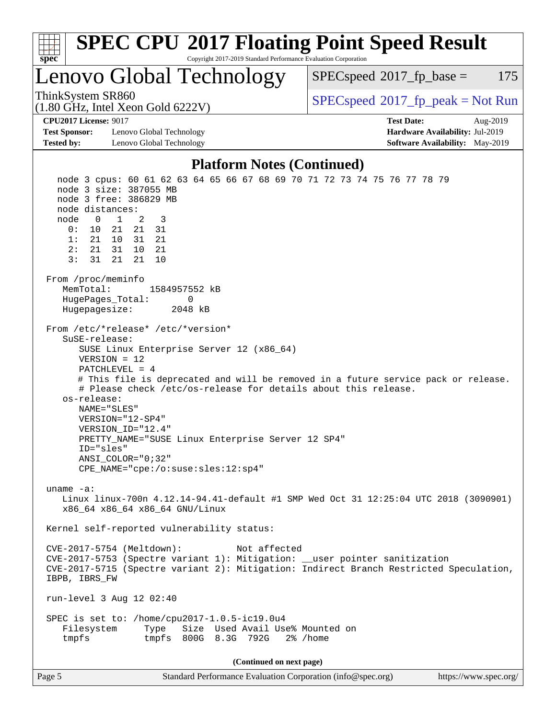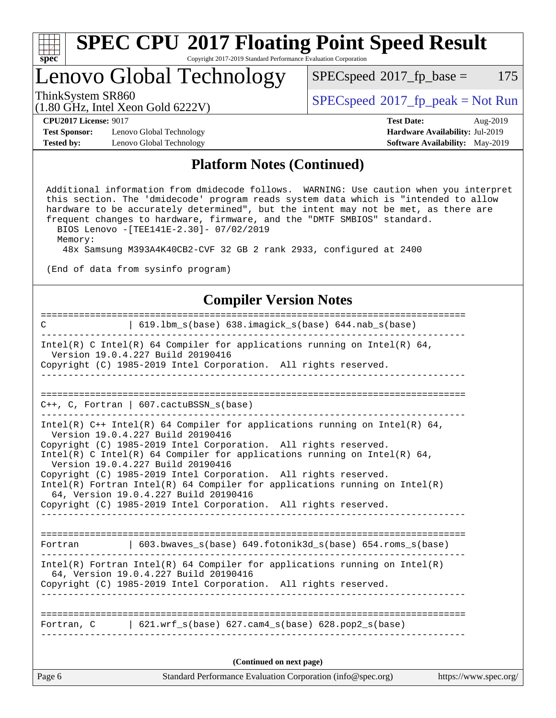| ч<br>e<br>ı.<br>c |  |  |  |  |  |
|-------------------|--|--|--|--|--|

### **[SPEC CPU](http://www.spec.org/auto/cpu2017/Docs/result-fields.html#SPECCPU2017FloatingPointSpeedResult)[2017 Floating Point Speed Result](http://www.spec.org/auto/cpu2017/Docs/result-fields.html#SPECCPU2017FloatingPointSpeedResult)** Copyright 2017-2019 Standard Performance Evaluation Corporation

## Lenovo Global Technology

 $SPECspeed^{\circledcirc}2017_fp\_base = 175$  $SPECspeed^{\circledcirc}2017_fp\_base = 175$ 

(1.80 GHz, Intel Xeon Gold 6222V)

ThinkSystem SR860<br>(1.80 GHz, Intel Year Gald 6222V) [SPECspeed](http://www.spec.org/auto/cpu2017/Docs/result-fields.html#SPECspeed2017fppeak)<sup>®</sup>[2017\\_fp\\_peak = N](http://www.spec.org/auto/cpu2017/Docs/result-fields.html#SPECspeed2017fppeak)ot Run

**[Test Sponsor:](http://www.spec.org/auto/cpu2017/Docs/result-fields.html#TestSponsor)** Lenovo Global Technology **[Hardware Availability:](http://www.spec.org/auto/cpu2017/Docs/result-fields.html#HardwareAvailability)** Jul-2019 **[Tested by:](http://www.spec.org/auto/cpu2017/Docs/result-fields.html#Testedby)** Lenovo Global Technology **[Software Availability:](http://www.spec.org/auto/cpu2017/Docs/result-fields.html#SoftwareAvailability)** May-2019

**[CPU2017 License:](http://www.spec.org/auto/cpu2017/Docs/result-fields.html#CPU2017License)** 9017 **[Test Date:](http://www.spec.org/auto/cpu2017/Docs/result-fields.html#TestDate)** Aug-2019

### **[Platform Notes \(Continued\)](http://www.spec.org/auto/cpu2017/Docs/result-fields.html#PlatformNotes)**

 Additional information from dmidecode follows. WARNING: Use caution when you interpret this section. The 'dmidecode' program reads system data which is "intended to allow hardware to be accurately determined", but the intent may not be met, as there are frequent changes to hardware, firmware, and the "DMTF SMBIOS" standard. BIOS Lenovo -[TEE141E-2.30]- 07/02/2019

Memory:

48x Samsung M393A4K40CB2-CVF 32 GB 2 rank 2933, configured at 2400

(End of data from sysinfo program)

### **[Compiler Version Notes](http://www.spec.org/auto/cpu2017/Docs/result-fields.html#CompilerVersionNotes)**

| Standard Performance Evaluation Corporation (info@spec.org)<br>Page 6                                                                           | https://www.spec.org/ |
|-------------------------------------------------------------------------------------------------------------------------------------------------|-----------------------|
| (Continued on next page)                                                                                                                        |                       |
| Fortran, $C = \begin{bmatrix} 621. wrf_s(base) & 627. cam4_s(base) & 628. pop2_s(base) \end{bmatrix}$                                           |                       |
|                                                                                                                                                 |                       |
| 64, Version 19.0.4.227 Build 20190416<br>Copyright (C) 1985-2019 Intel Corporation. All rights reserved.                                        |                       |
| $Intel(R)$ Fortran Intel(R) 64 Compiler for applications running on Intel(R)                                                                    |                       |
| Fortran   603.bwaves_s(base) 649.fotonik3d_s(base) 654.roms_s(base)                                                                             |                       |
| Copyright (C) 1985-2019 Intel Corporation. All rights reserved.                                                                                 |                       |
| 64, Version 19.0.4.227 Build 20190416                                                                                                           |                       |
| Copyright (C) 1985-2019 Intel Corporation. All rights reserved.<br>Intel(R) Fortran Intel(R) 64 Compiler for applications running on $Intel(R)$ |                       |
| Version 19.0.4.227 Build 20190416                                                                                                               |                       |
| Copyright (C) 1985-2019 Intel Corporation. All rights reserved.<br>Intel(R) C Intel(R) 64 Compiler for applications running on Intel(R) 64,     |                       |
| Intel(R) $C++$ Intel(R) 64 Compiler for applications running on Intel(R) 64,<br>Version 19.0.4.227 Build 20190416                               |                       |
| $C_{++}$ , C, Fortran   607.cactuBSSN_s(base)                                                                                                   |                       |
|                                                                                                                                                 |                       |
| _ _ _ _ _ _ _ _ _ _ _                                                                                                                           |                       |
| Version 19.0.4.227 Build 20190416<br>Copyright (C) 1985-2019 Intel Corporation. All rights reserved.                                            |                       |
| Intel(R) C Intel(R) 64 Compiler for applications running on Intel(R) 64,                                                                        |                       |
| 619.1bm_s(base) 638.imagick_s(base) 644.nab_s(base)<br>$\mathbf C$                                                                              |                       |
|                                                                                                                                                 |                       |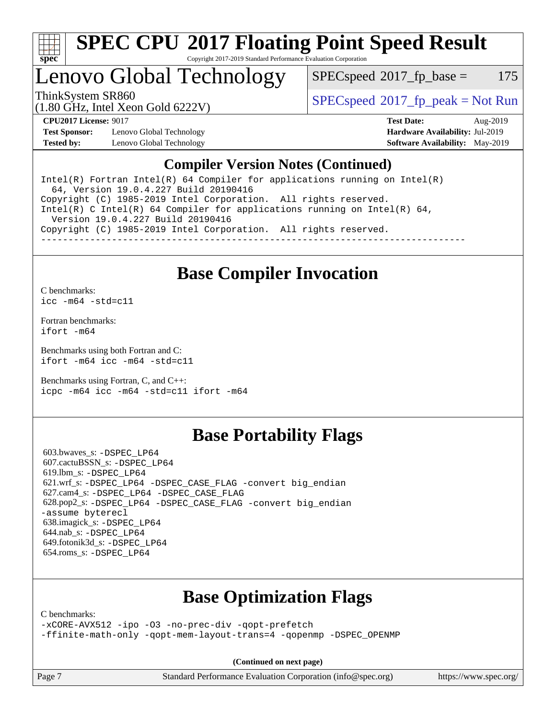

# **[SPEC CPU](http://www.spec.org/auto/cpu2017/Docs/result-fields.html#SPECCPU2017FloatingPointSpeedResult)[2017 Floating Point Speed Result](http://www.spec.org/auto/cpu2017/Docs/result-fields.html#SPECCPU2017FloatingPointSpeedResult)**

Copyright 2017-2019 Standard Performance Evaluation Corporation

Lenovo Global Technology

 $SPEC speed^{\circ}2017\_fp\_base = 175$ 

ThinkSystem SR860<br>(1.80 CHz, Intel Year Gald 6222V) [SPECspeed](http://www.spec.org/auto/cpu2017/Docs/result-fields.html#SPECspeed2017fppeak)<sup>®</sup>[2017\\_fp\\_peak = N](http://www.spec.org/auto/cpu2017/Docs/result-fields.html#SPECspeed2017fppeak)ot Run

(1.80 GHz, Intel Xeon Gold 6222V)

**[Test Sponsor:](http://www.spec.org/auto/cpu2017/Docs/result-fields.html#TestSponsor)** Lenovo Global Technology **[Hardware Availability:](http://www.spec.org/auto/cpu2017/Docs/result-fields.html#HardwareAvailability)** Jul-2019 **[Tested by:](http://www.spec.org/auto/cpu2017/Docs/result-fields.html#Testedby)** Lenovo Global Technology **[Software Availability:](http://www.spec.org/auto/cpu2017/Docs/result-fields.html#SoftwareAvailability)** May-2019

**[CPU2017 License:](http://www.spec.org/auto/cpu2017/Docs/result-fields.html#CPU2017License)** 9017 **[Test Date:](http://www.spec.org/auto/cpu2017/Docs/result-fields.html#TestDate)** Aug-2019

### **[Compiler Version Notes \(Continued\)](http://www.spec.org/auto/cpu2017/Docs/result-fields.html#CompilerVersionNotes)**

Intel(R) Fortran Intel(R)  $64$  Compiler for applications running on Intel(R) 64, Version 19.0.4.227 Build 20190416 Copyright (C) 1985-2019 Intel Corporation. All rights reserved. Intel(R) C Intel(R) 64 Compiler for applications running on Intel(R)  $64$ , Version 19.0.4.227 Build 20190416 Copyright (C) 1985-2019 Intel Corporation. All rights reserved. ------------------------------------------------------------------------------

## **[Base Compiler Invocation](http://www.spec.org/auto/cpu2017/Docs/result-fields.html#BaseCompilerInvocation)**

[C benchmarks](http://www.spec.org/auto/cpu2017/Docs/result-fields.html#Cbenchmarks): [icc -m64 -std=c11](http://www.spec.org/cpu2017/results/res2019q3/cpu2017-20190902-17463.flags.html#user_CCbase_intel_icc_64bit_c11_33ee0cdaae7deeeab2a9725423ba97205ce30f63b9926c2519791662299b76a0318f32ddfffdc46587804de3178b4f9328c46fa7c2b0cd779d7a61945c91cd35)

[Fortran benchmarks](http://www.spec.org/auto/cpu2017/Docs/result-fields.html#Fortranbenchmarks): [ifort -m64](http://www.spec.org/cpu2017/results/res2019q3/cpu2017-20190902-17463.flags.html#user_FCbase_intel_ifort_64bit_24f2bb282fbaeffd6157abe4f878425411749daecae9a33200eee2bee2fe76f3b89351d69a8130dd5949958ce389cf37ff59a95e7a40d588e8d3a57e0c3fd751)

[Benchmarks using both Fortran and C](http://www.spec.org/auto/cpu2017/Docs/result-fields.html#BenchmarksusingbothFortranandC): [ifort -m64](http://www.spec.org/cpu2017/results/res2019q3/cpu2017-20190902-17463.flags.html#user_CC_FCbase_intel_ifort_64bit_24f2bb282fbaeffd6157abe4f878425411749daecae9a33200eee2bee2fe76f3b89351d69a8130dd5949958ce389cf37ff59a95e7a40d588e8d3a57e0c3fd751) [icc -m64 -std=c11](http://www.spec.org/cpu2017/results/res2019q3/cpu2017-20190902-17463.flags.html#user_CC_FCbase_intel_icc_64bit_c11_33ee0cdaae7deeeab2a9725423ba97205ce30f63b9926c2519791662299b76a0318f32ddfffdc46587804de3178b4f9328c46fa7c2b0cd779d7a61945c91cd35)

[Benchmarks using Fortran, C, and C++:](http://www.spec.org/auto/cpu2017/Docs/result-fields.html#BenchmarksusingFortranCandCXX) [icpc -m64](http://www.spec.org/cpu2017/results/res2019q3/cpu2017-20190902-17463.flags.html#user_CC_CXX_FCbase_intel_icpc_64bit_4ecb2543ae3f1412ef961e0650ca070fec7b7afdcd6ed48761b84423119d1bf6bdf5cad15b44d48e7256388bc77273b966e5eb805aefd121eb22e9299b2ec9d9) [icc -m64 -std=c11](http://www.spec.org/cpu2017/results/res2019q3/cpu2017-20190902-17463.flags.html#user_CC_CXX_FCbase_intel_icc_64bit_c11_33ee0cdaae7deeeab2a9725423ba97205ce30f63b9926c2519791662299b76a0318f32ddfffdc46587804de3178b4f9328c46fa7c2b0cd779d7a61945c91cd35) [ifort -m64](http://www.spec.org/cpu2017/results/res2019q3/cpu2017-20190902-17463.flags.html#user_CC_CXX_FCbase_intel_ifort_64bit_24f2bb282fbaeffd6157abe4f878425411749daecae9a33200eee2bee2fe76f3b89351d69a8130dd5949958ce389cf37ff59a95e7a40d588e8d3a57e0c3fd751)

## **[Base Portability Flags](http://www.spec.org/auto/cpu2017/Docs/result-fields.html#BasePortabilityFlags)**

 603.bwaves\_s: [-DSPEC\\_LP64](http://www.spec.org/cpu2017/results/res2019q3/cpu2017-20190902-17463.flags.html#suite_basePORTABILITY603_bwaves_s_DSPEC_LP64) 607.cactuBSSN\_s: [-DSPEC\\_LP64](http://www.spec.org/cpu2017/results/res2019q3/cpu2017-20190902-17463.flags.html#suite_basePORTABILITY607_cactuBSSN_s_DSPEC_LP64) 619.lbm\_s: [-DSPEC\\_LP64](http://www.spec.org/cpu2017/results/res2019q3/cpu2017-20190902-17463.flags.html#suite_basePORTABILITY619_lbm_s_DSPEC_LP64) 621.wrf\_s: [-DSPEC\\_LP64](http://www.spec.org/cpu2017/results/res2019q3/cpu2017-20190902-17463.flags.html#suite_basePORTABILITY621_wrf_s_DSPEC_LP64) [-DSPEC\\_CASE\\_FLAG](http://www.spec.org/cpu2017/results/res2019q3/cpu2017-20190902-17463.flags.html#b621.wrf_s_baseCPORTABILITY_DSPEC_CASE_FLAG) [-convert big\\_endian](http://www.spec.org/cpu2017/results/res2019q3/cpu2017-20190902-17463.flags.html#user_baseFPORTABILITY621_wrf_s_convert_big_endian_c3194028bc08c63ac5d04de18c48ce6d347e4e562e8892b8bdbdc0214820426deb8554edfa529a3fb25a586e65a3d812c835984020483e7e73212c4d31a38223) 627.cam4\_s: [-DSPEC\\_LP64](http://www.spec.org/cpu2017/results/res2019q3/cpu2017-20190902-17463.flags.html#suite_basePORTABILITY627_cam4_s_DSPEC_LP64) [-DSPEC\\_CASE\\_FLAG](http://www.spec.org/cpu2017/results/res2019q3/cpu2017-20190902-17463.flags.html#b627.cam4_s_baseCPORTABILITY_DSPEC_CASE_FLAG) 628.pop2\_s: [-DSPEC\\_LP64](http://www.spec.org/cpu2017/results/res2019q3/cpu2017-20190902-17463.flags.html#suite_basePORTABILITY628_pop2_s_DSPEC_LP64) [-DSPEC\\_CASE\\_FLAG](http://www.spec.org/cpu2017/results/res2019q3/cpu2017-20190902-17463.flags.html#b628.pop2_s_baseCPORTABILITY_DSPEC_CASE_FLAG) [-convert big\\_endian](http://www.spec.org/cpu2017/results/res2019q3/cpu2017-20190902-17463.flags.html#user_baseFPORTABILITY628_pop2_s_convert_big_endian_c3194028bc08c63ac5d04de18c48ce6d347e4e562e8892b8bdbdc0214820426deb8554edfa529a3fb25a586e65a3d812c835984020483e7e73212c4d31a38223) [-assume byterecl](http://www.spec.org/cpu2017/results/res2019q3/cpu2017-20190902-17463.flags.html#user_baseFPORTABILITY628_pop2_s_assume_byterecl_7e47d18b9513cf18525430bbf0f2177aa9bf368bc7a059c09b2c06a34b53bd3447c950d3f8d6c70e3faf3a05c8557d66a5798b567902e8849adc142926523472) 638.imagick\_s: [-DSPEC\\_LP64](http://www.spec.org/cpu2017/results/res2019q3/cpu2017-20190902-17463.flags.html#suite_basePORTABILITY638_imagick_s_DSPEC_LP64) 644.nab\_s: [-DSPEC\\_LP64](http://www.spec.org/cpu2017/results/res2019q3/cpu2017-20190902-17463.flags.html#suite_basePORTABILITY644_nab_s_DSPEC_LP64) 649.fotonik3d\_s: [-DSPEC\\_LP64](http://www.spec.org/cpu2017/results/res2019q3/cpu2017-20190902-17463.flags.html#suite_basePORTABILITY649_fotonik3d_s_DSPEC_LP64) 654.roms\_s: [-DSPEC\\_LP64](http://www.spec.org/cpu2017/results/res2019q3/cpu2017-20190902-17463.flags.html#suite_basePORTABILITY654_roms_s_DSPEC_LP64)

## **[Base Optimization Flags](http://www.spec.org/auto/cpu2017/Docs/result-fields.html#BaseOptimizationFlags)**

[C benchmarks](http://www.spec.org/auto/cpu2017/Docs/result-fields.html#Cbenchmarks):

[-xCORE-AVX512](http://www.spec.org/cpu2017/results/res2019q3/cpu2017-20190902-17463.flags.html#user_CCbase_f-xCORE-AVX512) [-ipo](http://www.spec.org/cpu2017/results/res2019q3/cpu2017-20190902-17463.flags.html#user_CCbase_f-ipo) [-O3](http://www.spec.org/cpu2017/results/res2019q3/cpu2017-20190902-17463.flags.html#user_CCbase_f-O3) [-no-prec-div](http://www.spec.org/cpu2017/results/res2019q3/cpu2017-20190902-17463.flags.html#user_CCbase_f-no-prec-div) [-qopt-prefetch](http://www.spec.org/cpu2017/results/res2019q3/cpu2017-20190902-17463.flags.html#user_CCbase_f-qopt-prefetch) [-ffinite-math-only](http://www.spec.org/cpu2017/results/res2019q3/cpu2017-20190902-17463.flags.html#user_CCbase_f_finite_math_only_cb91587bd2077682c4b38af759c288ed7c732db004271a9512da14a4f8007909a5f1427ecbf1a0fb78ff2a814402c6114ac565ca162485bbcae155b5e4258871) [-qopt-mem-layout-trans=4](http://www.spec.org/cpu2017/results/res2019q3/cpu2017-20190902-17463.flags.html#user_CCbase_f-qopt-mem-layout-trans_fa39e755916c150a61361b7846f310bcdf6f04e385ef281cadf3647acec3f0ae266d1a1d22d972a7087a248fd4e6ca390a3634700869573d231a252c784941a8) [-qopenmp](http://www.spec.org/cpu2017/results/res2019q3/cpu2017-20190902-17463.flags.html#user_CCbase_qopenmp_16be0c44f24f464004c6784a7acb94aca937f053568ce72f94b139a11c7c168634a55f6653758ddd83bcf7b8463e8028bb0b48b77bcddc6b78d5d95bb1df2967) [-DSPEC\\_OPENMP](http://www.spec.org/cpu2017/results/res2019q3/cpu2017-20190902-17463.flags.html#suite_CCbase_DSPEC_OPENMP)

**(Continued on next page)**

Page 7 Standard Performance Evaluation Corporation [\(info@spec.org\)](mailto:info@spec.org) <https://www.spec.org/>